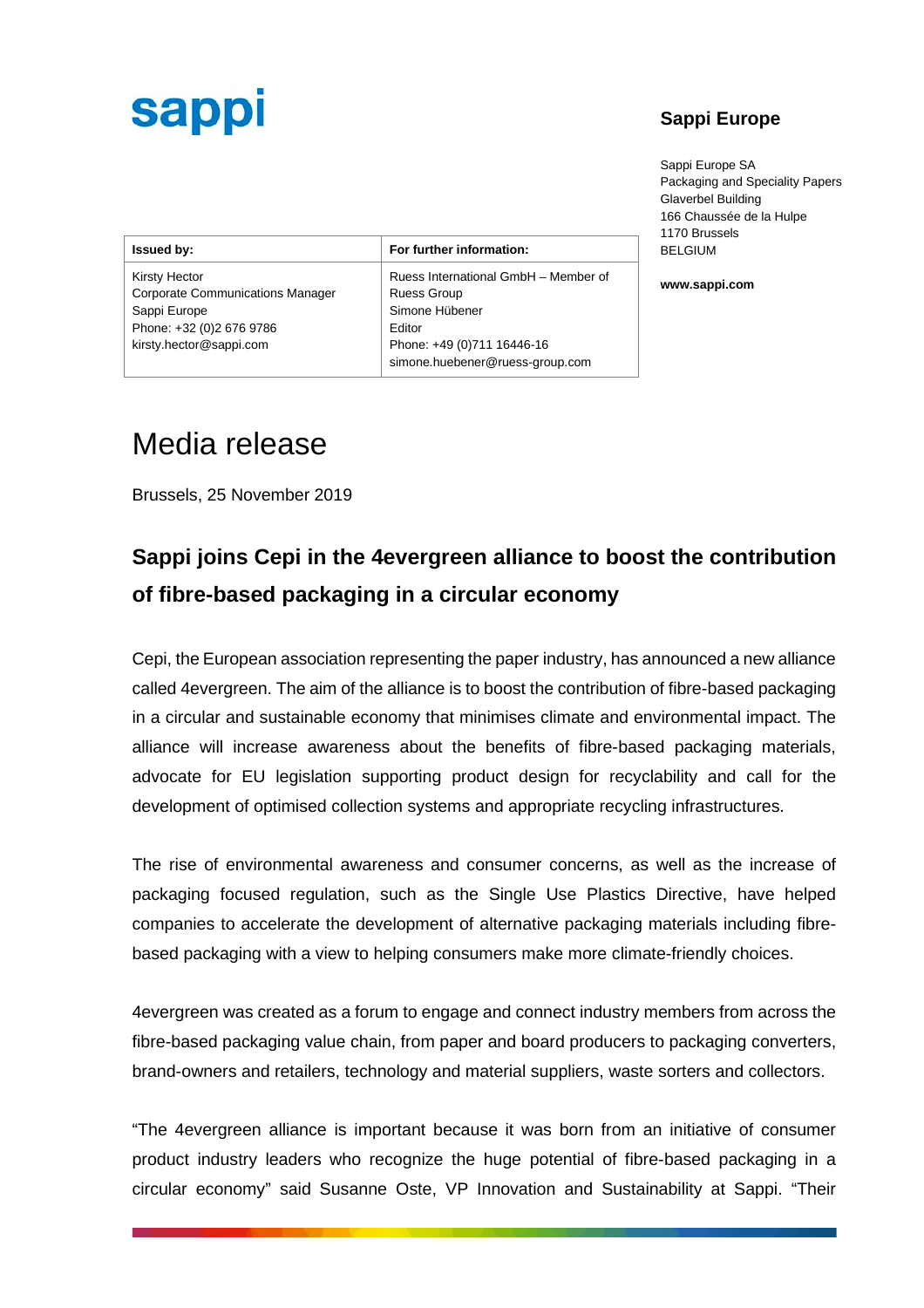# **sappl**

#### **Sappi Europe**

Sappi Europe SA Packaging and Speciality Papers Glaverbel Building 166 Chaussée de la Hulpe 1170 Brussels BELGIUM

**www.sappi.com**

| <b>Issued by:</b>                       | For further information:             |
|-----------------------------------------|--------------------------------------|
| <b>Kirsty Hector</b>                    | Ruess International GmbH - Member of |
| <b>Corporate Communications Manager</b> | <b>Ruess Group</b>                   |
| Sappi Europe                            | Simone Hübener                       |
| Phone: +32 (0)2 676 9786                | Editor                               |
| kirsty.hector@sappi.com                 | Phone: +49 (0)711 16446-16           |
|                                         | simone.huebener@ruess-group.com      |

### Media release

Brussels, 25 November 2019

### **Sappi joins Cepi in the 4evergreen alliance to boost the contribution of fibre-based packaging in a circular economy**

Cepi, the European association representing the paper industry, has announced a new alliance called 4evergreen. The aim of the alliance is to boost the contribution of fibre-based packaging in a circular and sustainable economy that minimises climate and environmental impact. The alliance will increase awareness about the benefits of fibre-based packaging materials, advocate for EU legislation supporting product design for recyclability and call for the development of optimised collection systems and appropriate recycling infrastructures.

The rise of environmental awareness and consumer concerns, as well as the increase of packaging focused regulation, such as the Single Use Plastics Directive, have helped companies to accelerate the development of alternative packaging materials including fibrebased packaging with a view to helping consumers make more climate-friendly choices.

4evergreen was created as a forum to engage and connect industry members from across the fibre-based packaging value chain, from paper and board producers to packaging converters, brand-owners and retailers, technology and material suppliers, waste sorters and collectors.

"The 4evergreen alliance is important because it was born from an initiative of consumer product industry leaders who recognize the huge potential of fibre-based packaging in a circular economy" said Susanne Oste, VP Innovation and Sustainability at Sappi. "Their